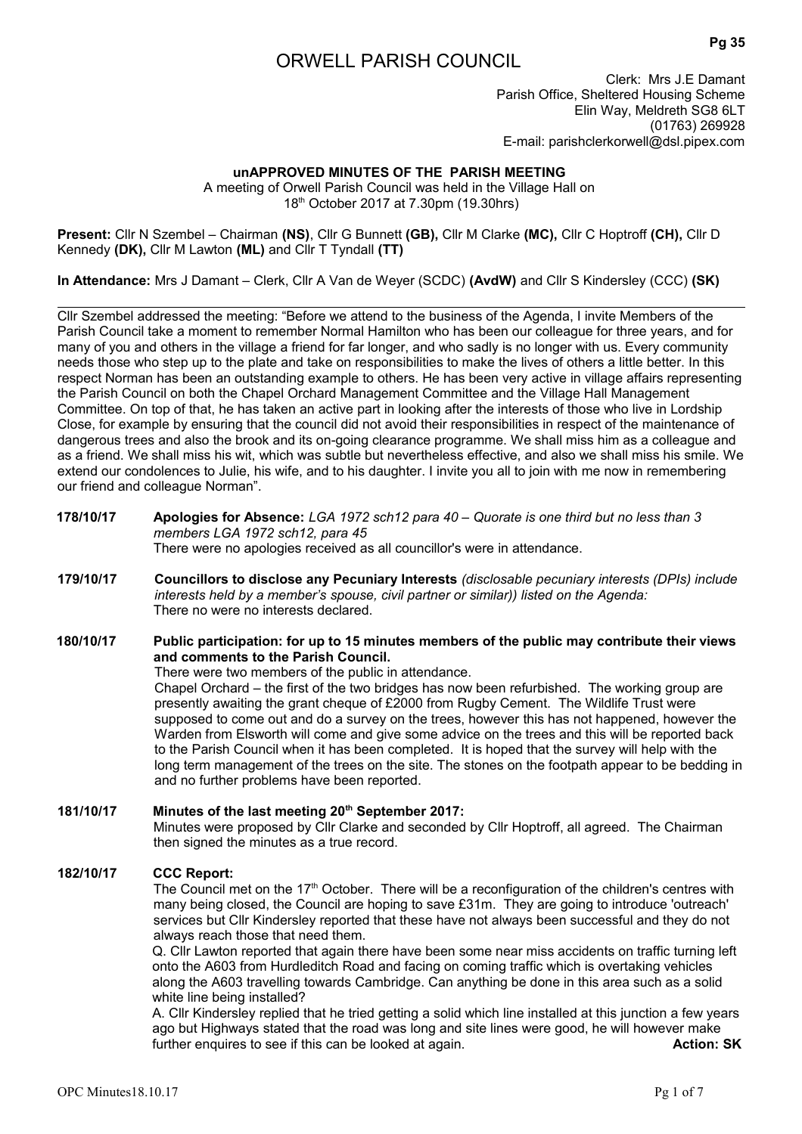# ORWELL PARISH COUNCIL

Clerk: Mrs J.E Damant Parish Office, Sheltered Housing Scheme Elin Way, Meldreth SG8 6LT (01763) 269928 E-mail: parishclerkorwell@dsl.pipex.com

# **unAPPROVED MINUTES OF THE PARISH MEETING**

A meeting of Orwell Parish Council was held in the Village Hall on 18th October 2017 at 7.30pm (19.30hrs)

**Present:** Cllr N Szembel – Chairman **(NS)**, Cllr G Bunnett **(GB),** Cllr M Clarke **(MC),** Cllr C Hoptroff **(CH),** Cllr D Kennedy **(DK),** Cllr M Lawton **(ML)** and Cllr T Tyndall **(TT)**

**In Attendance:** Mrs J Damant – Clerk, Cllr A Van de Weyer (SCDC) **(AvdW)** and Cllr S Kindersley (CCC) **(SK)**

Cllr Szembel addressed the meeting: "Before we attend to the business of the Agenda, I invite Members of the Parish Council take a moment to remember Normal Hamilton who has been our colleague for three years, and for many of you and others in the village a friend for far longer, and who sadly is no longer with us. Every community needs those who step up to the plate and take on responsibilities to make the lives of others a little better. In this respect Norman has been an outstanding example to others. He has been very active in village affairs representing the Parish Council on both the Chapel Orchard Management Committee and the Village Hall Management Committee. On top of that, he has taken an active part in looking after the interests of those who live in Lordship Close, for example by ensuring that the council did not avoid their responsibilities in respect of the maintenance of dangerous trees and also the brook and its on-going clearance programme. We shall miss him as a colleague and as a friend. We shall miss his wit, which was subtle but nevertheless effective, and also we shall miss his smile. We extend our condolences to Julie, his wife, and to his daughter. I invite you all to join with me now in remembering our friend and colleague Norman".

#### **178/10/17 Apologies for Absence:** *LGA 1972 sch12 para 40 – Quorate is one third but no less than 3 members LGA 1972 sch12, para 45* There were no apologies received as all councillor's were in attendance.

**179/10/17 Councillors to disclose any Pecuniary Interests** *(disclosable pecuniary interests (DPIs) include interests held by a member's spouse, civil partner or similar)) listed on the Agenda:* There no were no interests declared.

# **180/10/17 Public participation: for up to 15 minutes members of the public may contribute their views and comments to the Parish Council.**

There were two members of the public in attendance.

Chapel Orchard – the first of the two bridges has now been refurbished. The working group are presently awaiting the grant cheque of £2000 from Rugby Cement. The Wildlife Trust were supposed to come out and do a survey on the trees, however this has not happened, however the Warden from Elsworth will come and give some advice on the trees and this will be reported back to the Parish Council when it has been completed. It is hoped that the survey will help with the long term management of the trees on the site. The stones on the footpath appear to be bedding in and no further problems have been reported.

# **181/10/17 Minutes of the last meeting 20th September 2017:**  Minutes were proposed by Cllr Clarke and seconded by Cllr Hoptroff, all agreed. The Chairman then signed the minutes as a true record.

#### **182/10/17 CCC Report:**

The Council met on the  $17<sup>th</sup>$  October. There will be a reconfiguration of the children's centres with many being closed, the Council are hoping to save £31m. They are going to introduce 'outreach' services but Cllr Kindersley reported that these have not always been successful and they do not always reach those that need them.

Q. Cllr Lawton reported that again there have been some near miss accidents on traffic turning left onto the A603 from Hurdleditch Road and facing on coming traffic which is overtaking vehicles along the A603 travelling towards Cambridge. Can anything be done in this area such as a solid white line being installed?

A. Cllr Kindersley replied that he tried getting a solid which line installed at this junction a few years ago but Highways stated that the road was long and site lines were good, he will however make further enquires to see if this can be looked at again. **Action: SK** Action: SK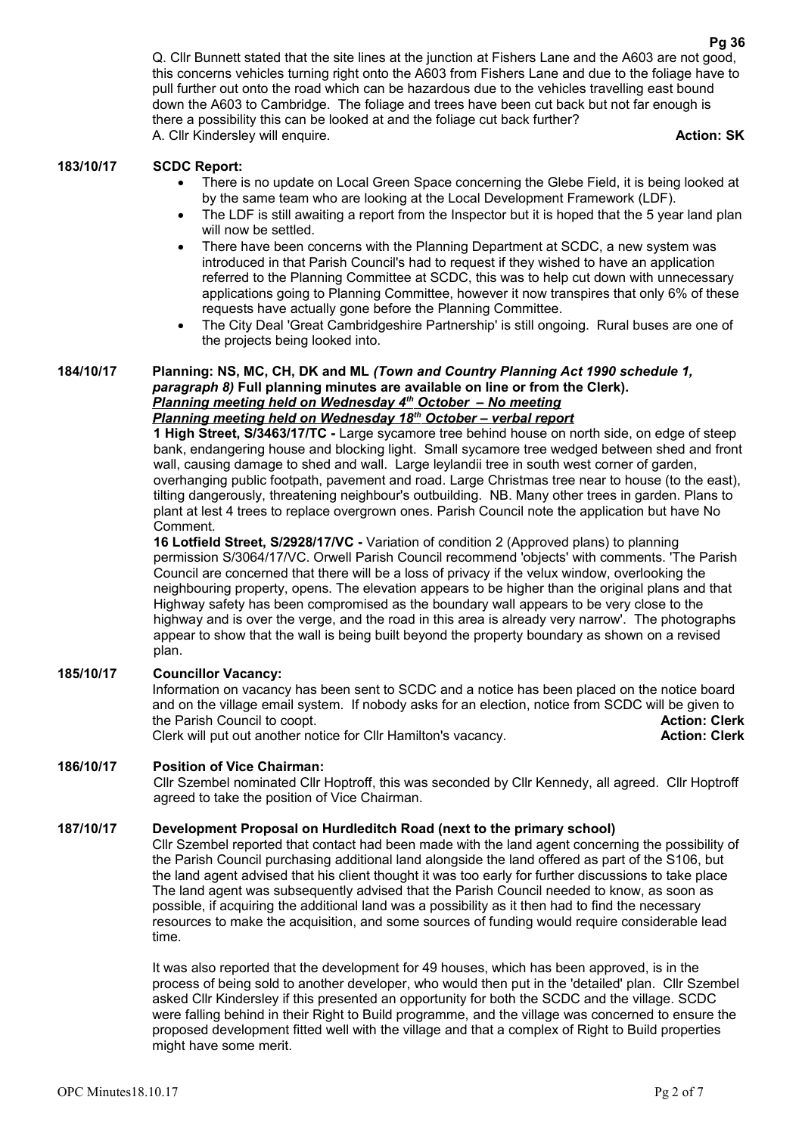Q. Cllr Bunnett stated that the site lines at the junction at Fishers Lane and the A603 are not good, this concerns vehicles turning right onto the A603 from Fishers Lane and due to the foliage have to pull further out onto the road which can be hazardous due to the vehicles travelling east bound down the A603 to Cambridge. The foliage and trees have been cut back but not far enough is there a possibility this can be looked at and the foliage cut back further? A. Cllr Kindersley will enquire. **Action: SK**

### **183/10/17 SCDC Report:**

- There is no update on Local Green Space concerning the Glebe Field, it is being looked at by the same team who are looking at the Local Development Framework (LDF).
- The LDF is still awaiting a report from the Inspector but it is hoped that the 5 year land plan will now be settled.
- There have been concerns with the Planning Department at SCDC, a new system was introduced in that Parish Council's had to request if they wished to have an application referred to the Planning Committee at SCDC, this was to help cut down with unnecessary applications going to Planning Committee, however it now transpires that only 6% of these requests have actually gone before the Planning Committee.
- The City Deal 'Great Cambridgeshire Partnership' is still ongoing. Rural buses are one of the projects being looked into.

# **184/10/17 Planning: NS, MC, CH, DK and ML** *(Town and Country Planning Act 1990 schedule 1, paragraph 8)* **Full planning minutes are available on line or from the Clerk).**   *Planning meeting held on Wednesday 4th October – No meeting*

# *Planning meeting held on Wednesday 18th October – verbal report*

**1 High Street, S/3463/17/TC -** Large sycamore tree behind house on north side, on edge of steep bank, endangering house and blocking light. Small sycamore tree wedged between shed and front wall, causing damage to shed and wall. Large leylandii tree in south west corner of garden, overhanging public footpath, pavement and road. Large Christmas tree near to house (to the east), tilting dangerously, threatening neighbour's outbuilding. NB. Many other trees in garden. Plans to plant at lest 4 trees to replace overgrown ones. Parish Council note the application but have No Comment.

**16 Lotfield Street, S/2928/17/VC -** Variation of condition 2 (Approved plans) to planning permission S/3064/17/VC. Orwell Parish Council recommend 'objects' with comments. 'The Parish Council are concerned that there will be a loss of privacy if the velux window, overlooking the neighbouring property, opens. The elevation appears to be higher than the original plans and that Highway safety has been compromised as the boundary wall appears to be very close to the highway and is over the verge, and the road in this area is already very narrow'. The photographs appear to show that the wall is being built beyond the property boundary as shown on a revised plan.

# **185/10/17 Councillor Vacancy:**

Information on vacancy has been sent to SCDC and a notice has been placed on the notice board and on the village email system. If nobody asks for an election, notice from SCDC will be given to the Parish Council to coopt. **Action: Clerk** Clerk will put out another notice for Cllr Hamilton's vacancy.

# **186/10/17 Position of Vice Chairman:**

Cllr Szembel nominated Cllr Hoptroff, this was seconded by Cllr Kennedy, all agreed. Cllr Hoptroff agreed to take the position of Vice Chairman.

### **187/10/17 Development Proposal on Hurdleditch Road (next to the primary school)**

Cllr Szembel reported that contact had been made with the land agent concerning the possibility of the Parish Council purchasing additional land alongside the land offered as part of the S106, but the land agent advised that his client thought it was too early for further discussions to take place The land agent was subsequently advised that the Parish Council needed to know, as soon as possible, if acquiring the additional land was a possibility as it then had to find the necessary resources to make the acquisition, and some sources of funding would require considerable lead time.

It was also reported that the development for 49 houses, which has been approved, is in the process of being sold to another developer, who would then put in the 'detailed' plan. Cllr Szembel asked Cllr Kindersley if this presented an opportunity for both the SCDC and the village. SCDC were falling behind in their Right to Build programme, and the village was concerned to ensure the proposed development fitted well with the village and that a complex of Right to Build properties might have some merit.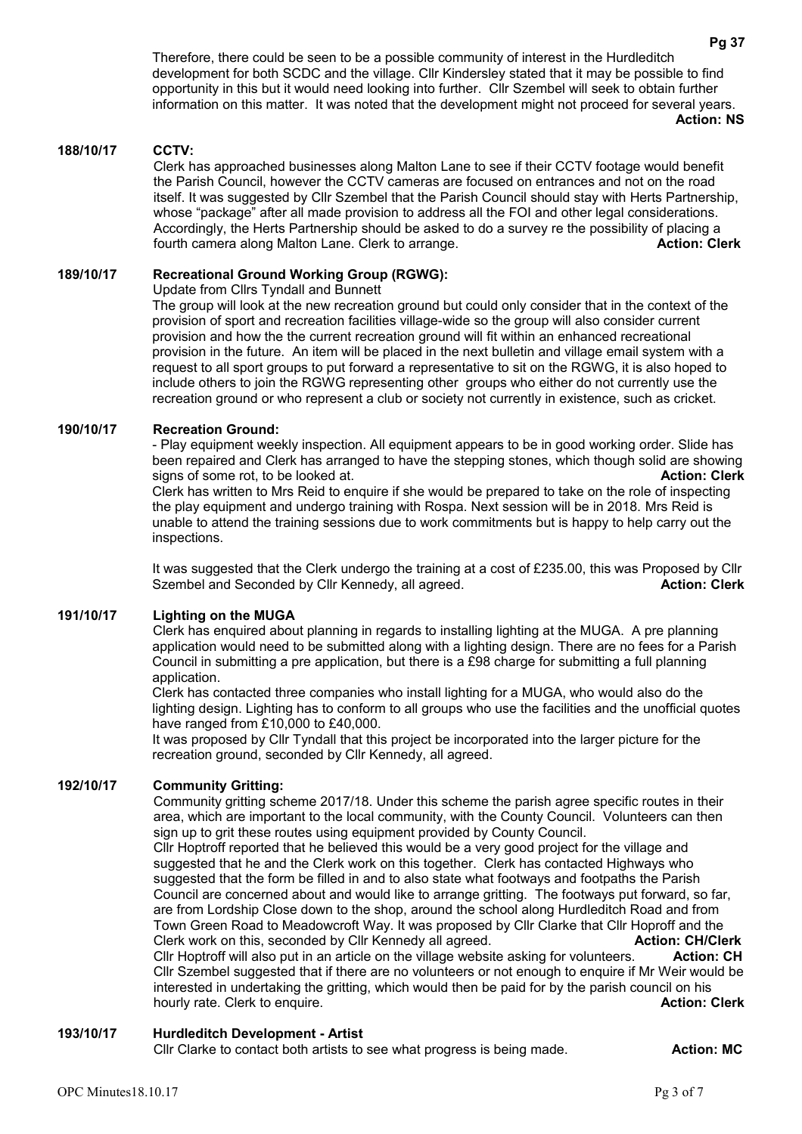Therefore, there could be seen to be a possible community of interest in the Hurdleditch development for both SCDC and the village. Cllr Kindersley stated that it may be possible to find opportunity in this but it would need looking into further. Cllr Szembel will seek to obtain further information on this matter. It was noted that the development might not proceed for several years. **Action: NS**

#### **188/10/17 CCTV:**

Clerk has approached businesses along Malton Lane to see if their CCTV footage would benefit the Parish Council, however the CCTV cameras are focused on entrances and not on the road itself. It was suggested by Cllr Szembel that the Parish Council should stay with Herts Partnership, whose "package" after all made provision to address all the FOI and other legal considerations. Accordingly, the Herts Partnership should be asked to do a survey re the possibility of placing a<br>fourth camera along Malton Lane. Clerk to arrange. fourth camera along Malton Lane. Clerk to arrange.

#### **189/10/17 Recreational Ground Working Group (RGWG):**

Update from Cllrs Tyndall and Bunnett

The group will look at the new recreation ground but could only consider that in the context of the provision of sport and recreation facilities village-wide so the group will also consider current provision and how the the current recreation ground will fit within an enhanced recreational provision in the future. An item will be placed in the next bulletin and village email system with a request to all sport groups to put forward a representative to sit on the RGWG, it is also hoped to include others to join the RGWG representing other groups who either do not currently use the recreation ground or who represent a club or society not currently in existence, such as cricket.

#### **190/10/17 Recreation Ground:**

- Play equipment weekly inspection. All equipment appears to be in good working order. Slide has been repaired and Clerk has arranged to have the stepping stones, which though solid are showing signs of some rot, to be looked at. **Action: Clerk** Clerk has written to Mrs Reid to enquire if she would be prepared to take on the role of inspecting the play equipment and undergo training with Rospa. Next session will be in 2018. Mrs Reid is unable to attend the training sessions due to work commitments but is happy to help carry out the inspections.

It was suggested that the Clerk undergo the training at a cost of £235.00, this was Proposed by Cllr Szembel and Seconded by Cllr Kennedy, all agreed. **Action: Clerk Action: Clerk** 

# **191/10/17 Lighting on the MUGA**

Clerk has enquired about planning in regards to installing lighting at the MUGA. A pre planning application would need to be submitted along with a lighting design. There are no fees for a Parish Council in submitting a pre application, but there is a £98 charge for submitting a full planning application.

Clerk has contacted three companies who install lighting for a MUGA, who would also do the lighting design. Lighting has to conform to all groups who use the facilities and the unofficial quotes have ranged from £10,000 to £40,000.

It was proposed by Cllr Tyndall that this project be incorporated into the larger picture for the recreation ground, seconded by Cllr Kennedy, all agreed.

#### **192/10/17 Community Gritting:**

Community gritting scheme 2017/18. Under this scheme the parish agree specific routes in their area, which are important to the local community, with the County Council. Volunteers can then sign up to grit these routes using equipment provided by County Council.

Cllr Hoptroff reported that he believed this would be a very good project for the village and suggested that he and the Clerk work on this together. Clerk has contacted Highways who suggested that the form be filled in and to also state what footways and footpaths the Parish Council are concerned about and would like to arrange gritting. The footways put forward, so far, are from Lordship Close down to the shop, around the school along Hurdleditch Road and from Town Green Road to Meadowcroft Way. It was proposed by Cllr Clarke that Cllr Hoproff and the Clerk work on this, seconded by Cllr Kennedy all agreed. **Action: CH/Clerk Action: CH/Clerk** Cllr Hoptroff will also put in an article on the village website asking for volunteers. **Action: CH** Cllr Szembel suggested that if there are no volunteers or not enough to enquire if Mr Weir would be interested in undertaking the gritting, which would then be paid for by the parish council on his hourly rate. Clerk to enquire. **Action: Clerk Action: Clerk** 

# **193/10/17 Hurdleditch Development - Artist**

Cllr Clarke to contact both artists to see what progress is being made. **Action: MC**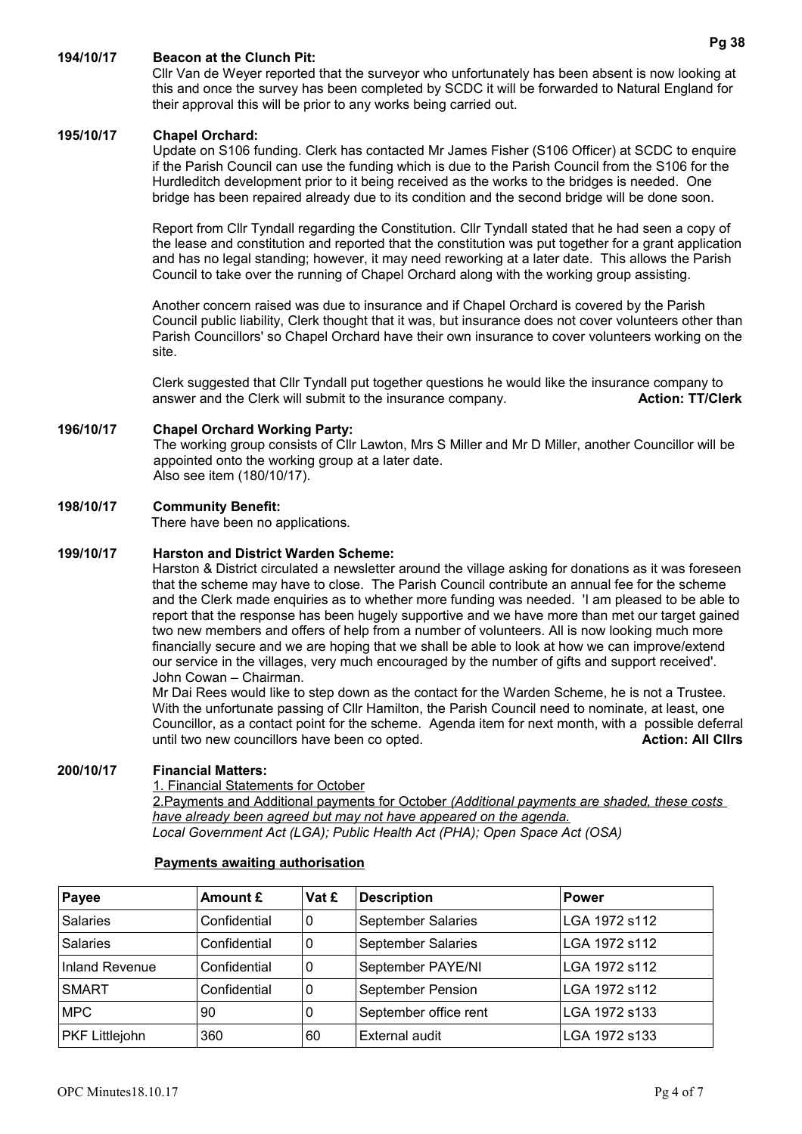# **194/10/17 Beacon at the Clunch Pit:**

Cllr Van de Weyer reported that the surveyor who unfortunately has been absent is now looking at this and once the survey has been completed by SCDC it will be forwarded to Natural England for their approval this will be prior to any works being carried out.

#### **195/10/17 Chapel Orchard:**

Update on S106 funding. Clerk has contacted Mr James Fisher (S106 Officer) at SCDC to enquire if the Parish Council can use the funding which is due to the Parish Council from the S106 for the Hurdleditch development prior to it being received as the works to the bridges is needed. One bridge has been repaired already due to its condition and the second bridge will be done soon.

Report from Cllr Tyndall regarding the Constitution. Cllr Tyndall stated that he had seen a copy of the lease and constitution and reported that the constitution was put together for a grant application and has no legal standing; however, it may need reworking at a later date. This allows the Parish Council to take over the running of Chapel Orchard along with the working group assisting.

Another concern raised was due to insurance and if Chapel Orchard is covered by the Parish Council public liability, Clerk thought that it was, but insurance does not cover volunteers other than Parish Councillors' so Chapel Orchard have their own insurance to cover volunteers working on the site.

Clerk suggested that Cllr Tyndall put together questions he would like the insurance company to answer and the Clerk will submit to the insurance company. **Action: TT/Clerk**

### **196/10/17 Chapel Orchard Working Party:**

The working group consists of Cllr Lawton, Mrs S Miller and Mr D Miller, another Councillor will be appointed onto the working group at a later date. Also see item (180/10/17).

#### **198/10/17 Community Benefit:**

There have been no applications.

### **199/10/17 Harston and District Warden Scheme:**

Harston & District circulated a newsletter around the village asking for donations as it was foreseen that the scheme may have to close. The Parish Council contribute an annual fee for the scheme and the Clerk made enquiries as to whether more funding was needed. 'I am pleased to be able to report that the response has been hugely supportive and we have more than met our target gained two new members and offers of help from a number of volunteers. All is now looking much more financially secure and we are hoping that we shall be able to look at how we can improve/extend our service in the villages, very much encouraged by the number of gifts and support received'. John Cowan – Chairman.

Mr Dai Rees would like to step down as the contact for the Warden Scheme, he is not a Trustee. With the unfortunate passing of Cllr Hamilton, the Parish Council need to nominate, at least, one Councillor, as a contact point for the scheme. Agenda item for next month, with a possible deferral until two new councillors have been co opted. **Action: All Clirs Action: All Clirs** 

#### **200/10/17 Financial Matters:**

1. Financial Statements for October 2.Payments and Additional payments for October *(Additional payments are shaded, these costs have already been agreed but may not have appeared on the agenda. Local Government Act (LGA); Public Health Act (PHA); Open Space Act (OSA)*

| Payee                 | Amount £     | Vat £ | <b>Description</b>        | <b>Power</b>  |
|-----------------------|--------------|-------|---------------------------|---------------|
| <b>Salaries</b>       | Confidential | 0     | <b>September Salaries</b> | LGA 1972 s112 |
| <b>Salaries</b>       | Confidential | 0     | <b>September Salaries</b> | LGA 1972 s112 |
| Inland Revenue        | Confidential | 0     | September PAYE/NI         | LGA 1972 s112 |
| <b>SMART</b>          | Confidential | 0     | September Pension         | LGA 1972 s112 |
| <b>MPC</b>            | 90           | 0     | September office rent     | LGA 1972 s133 |
| <b>PKF Littlejohn</b> | 360          | 60    | External audit            | LGA 1972 s133 |

### **Payments awaiting authorisation**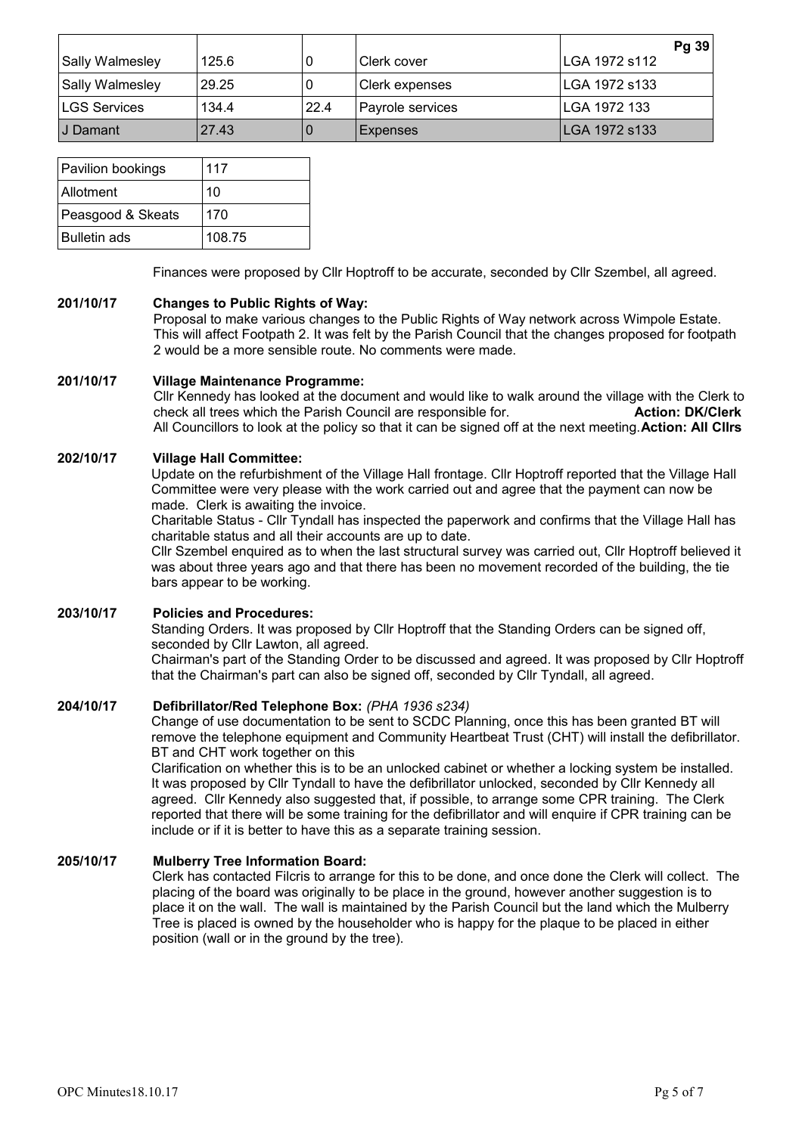|                        |       |      |                  | Pg 39         |
|------------------------|-------|------|------------------|---------------|
| <b>Sally Walmesley</b> | 125.6 | O    | Clerk cover      | LGA 1972 s112 |
| <b>Sally Walmesley</b> | 29.25 | 0    | Clerk expenses   | LGA 1972 s133 |
| <b>LGS Services</b>    | 134.4 | 22.4 | Payrole services | LGA 1972 133  |
| ⊺J Damant              | 27.43 | O    | Expenses         | LGA 1972 s133 |

| Pavilion bookings   | 117    |
|---------------------|--------|
| Allotment           | 10     |
| Peasgood & Skeats   | 170    |
| <b>Bulletin ads</b> | 108.75 |

Finances were proposed by Cllr Hoptroff to be accurate, seconded by Cllr Szembel, all agreed.

# **201/10/17 Changes to Public Rights of Way:**

Proposal to make various changes to the Public Rights of Way network across Wimpole Estate. This will affect Footpath 2. It was felt by the Parish Council that the changes proposed for footpath 2 would be a more sensible route. No comments were made.

#### **201/10/17 Village Maintenance Programme:**

Cllr Kennedy has looked at the document and would like to walk around the village with the Clerk to check all trees which the Parish Council are responsible for. **Action: DK/Clerk** All Councillors to look at the policy so that it can be signed off at the next meeting.**Action: All Cllrs**

### **202/10/17 Village Hall Committee:**

Update on the refurbishment of the Village Hall frontage. Cllr Hoptroff reported that the Village Hall Committee were very please with the work carried out and agree that the payment can now be made. Clerk is awaiting the invoice.

Charitable Status - Cllr Tyndall has inspected the paperwork and confirms that the Village Hall has charitable status and all their accounts are up to date.

Cllr Szembel enquired as to when the last structural survey was carried out, Cllr Hoptroff believed it was about three years ago and that there has been no movement recorded of the building, the tie bars appear to be working.

# **203/10/17 Policies and Procedures:**

Standing Orders. It was proposed by Cllr Hoptroff that the Standing Orders can be signed off, seconded by Cllr Lawton, all agreed.

Chairman's part of the Standing Order to be discussed and agreed. It was proposed by Cllr Hoptroff that the Chairman's part can also be signed off, seconded by Cllr Tyndall, all agreed.

# **204/10/17 Defibrillator/Red Telephone Box:** *(PHA 1936 s234)*

Change of use documentation to be sent to SCDC Planning, once this has been granted BT will remove the telephone equipment and Community Heartbeat Trust (CHT) will install the defibrillator. BT and CHT work together on this

Clarification on whether this is to be an unlocked cabinet or whether a locking system be installed. It was proposed by Cllr Tyndall to have the defibrillator unlocked, seconded by Cllr Kennedy all agreed. Cllr Kennedy also suggested that, if possible, to arrange some CPR training. The Clerk reported that there will be some training for the defibrillator and will enquire if CPR training can be include or if it is better to have this as a separate training session.

# **205/10/17 Mulberry Tree Information Board:**

Clerk has contacted Filcris to arrange for this to be done, and once done the Clerk will collect. The placing of the board was originally to be place in the ground, however another suggestion is to place it on the wall. The wall is maintained by the Parish Council but the land which the Mulberry Tree is placed is owned by the householder who is happy for the plaque to be placed in either position (wall or in the ground by the tree).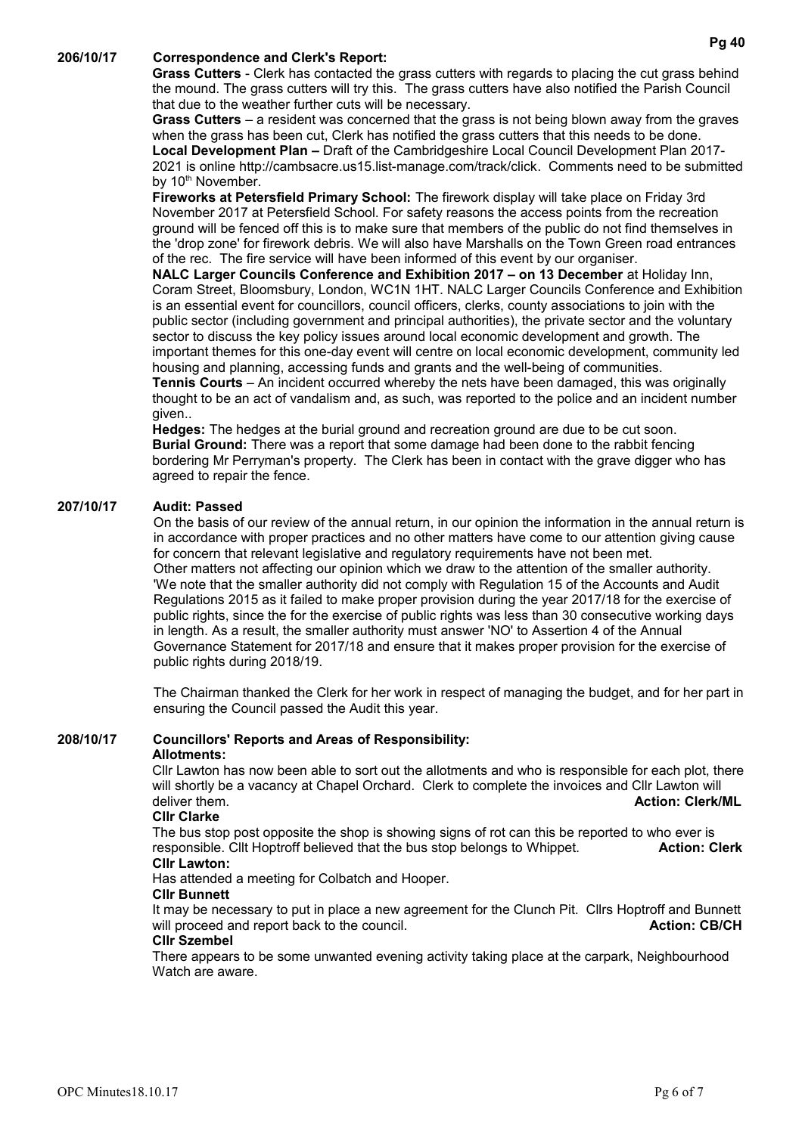#### **206/10/17 Correspondence and Clerk's Report:**

**Grass Cutters** - Clerk has contacted the grass cutters with regards to placing the cut grass behind the mound. The grass cutters will try this. The grass cutters have also notified the Parish Council that due to the weather further cuts will be necessary.

**Grass Cutters** – a resident was concerned that the grass is not being blown away from the graves when the grass has been cut, Clerk has notified the grass cutters that this needs to be done. **Local Development Plan –** Draft of the Cambridgeshire Local Council Development Plan 2017- 2021 is online [http://cambsacre.us15.list-manage.com/track/click.](http://cambsacre.us15.list-manage.com/track/click) Comments need to be submitted by  $10<sup>th</sup>$  November.

**Fireworks at Petersfield Primary School:** The firework display will take place on Friday 3rd November 2017 at Petersfield School. For safety reasons the access points from the recreation ground will be fenced off this is to make sure that members of the public do not find themselves in the 'drop zone' for firework debris. We will also have Marshalls on the Town Green road entrances of the rec. The fire service will have been informed of this event by our organiser.

**NALC Larger Councils Conference and Exhibition 2017 – on 13 December** at Holiday Inn, Coram Street, Bloomsbury, London, WC1N 1HT. NALC Larger Councils Conference and Exhibition is an essential event for councillors, council officers, clerks, county associations to join with the public sector (including government and principal authorities), the private sector and the voluntary sector to discuss the key policy issues around local economic development and growth. The important themes for this one-day event will centre on local economic development, community led housing and planning, accessing funds and grants and the well-being of communities.

**Tennis Courts** – An incident occurred whereby the nets have been damaged, this was originally thought to be an act of vandalism and, as such, was reported to the police and an incident number given..

**Hedges:** The hedges at the burial ground and recreation ground are due to be cut soon. **Burial Ground:** There was a report that some damage had been done to the rabbit fencing bordering Mr Perryman's property. The Clerk has been in contact with the grave digger who has agreed to repair the fence.

### **207/10/17 Audit: Passed**

On the basis of our review of the annual return, in our opinion the information in the annual return is in accordance with proper practices and no other matters have come to our attention giving cause for concern that relevant legislative and regulatory requirements have not been met. Other matters not affecting our opinion which we draw to the attention of the smaller authority. 'We note that the smaller authority did not comply with Regulation 15 of the Accounts and Audit Regulations 2015 as it failed to make proper provision during the year 2017/18 for the exercise of public rights, since the for the exercise of public rights was less than 30 consecutive working days in length. As a result, the smaller authority must answer 'NO' to Assertion 4 of the Annual Governance Statement for 2017/18 and ensure that it makes proper provision for the exercise of public rights during 2018/19.

The Chairman thanked the Clerk for her work in respect of managing the budget, and for her part in ensuring the Council passed the Audit this year.

#### **208/10/17 Councillors' Reports and Areas of Responsibility: Allotments:**

Cllr Lawton has now been able to sort out the allotments and who is responsible for each plot, there will shortly be a vacancy at Chapel Orchard. Clerk to complete the invoices and Cllr Lawton will deliver them. **Action: Clerk/ML Action: Clerk/ML Action: Clerk/ML** 

#### **Cllr Clarke**

The bus stop post opposite the shop is showing signs of rot can this be reported to who ever is<br>
responsible. Clit Hoptroff believed that the bus stop belongs to Whippet. **Action: Clerk** responsible. Cllt Hoptroff believed that the bus stop belongs to Whippet. **Cllr Lawton:**

Has attended a meeting for Colbatch and Hooper.

# **Cllr Bunnett**

It may be necessary to put in place a new agreement for the Clunch Pit. Cllrs Hoptroff and Bunnett will proceed and report back to the council. **Action: CB/CH Action: CB/CH** 

### **Cllr Szembel**

There appears to be some unwanted evening activity taking place at the carpark, Neighbourhood Watch are aware.